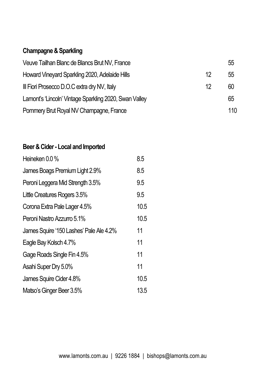# **Champagne& Sparkling**

| Veuve Tailhan Blanc de Blancs Brut NV, France          |    | 55  |
|--------------------------------------------------------|----|-----|
| Howard Vineyard Sparkling 2020, Adelaide Hills         | 12 | 55  |
| III Fiori Prosecco D.O.C extra dry NV, Italy           | 12 | 60  |
| Lamont's 'Lincoln' Vintage Sparkling 2020, Swan Valley |    | 65  |
| Pommery Brut Royal NV Champagne, France                |    | 110 |

#### **Beer & Cider - Local and Imported**

| Heineken 0.0 %                          | 8.5  |
|-----------------------------------------|------|
| James Boags Premium Light 2.9%          | 8.5  |
| Peroni Leggera Mid Strength 3.5%        | 9.5  |
| Little Creatures Rogers 3.5%            | 9.5  |
| Corona Extra Pale Lager 4.5%            | 10.5 |
| Peroni Nastro Azzurro 5.1%              | 10.5 |
| James Squire '150 Lashes' Pale Ale 4.2% | 11   |
| Eagle Bay Kolsch 4.7%                   | 11   |
| Gage Roads Single Fin 4.5%              | 11   |
| Asahi Super Dry 5.0%                    | 11   |
| James Squire Cider 4.8%                 | 10.5 |
| Matso's Ginger Beer 3.5%                | 13.5 |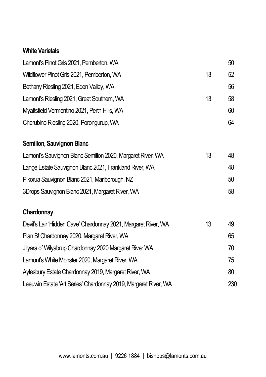### **White Varietals**

| Lamont's Pinot Gris 2021, Pemberton, WA                         |    | 50  |
|-----------------------------------------------------------------|----|-----|
| Wildflower Pinot Gris 2021, Pemberton, WA                       | 13 | 52  |
| Bethany Riesling 2021, Eden Valley, WA                          |    | 56  |
| Lamont's Riesling 2021, Great Southem, WA                       | 13 | 58  |
| Myattsfield Vermentino 2021, Perth Hills, WA                    |    | 60  |
| Cherubino Riesling 2020, Porongurup, WA                         |    | 64  |
| Semillon, Sauvignon Blanc                                       |    |     |
| Lamont's Sauvignon Blanc Semillon 2020, Margaret River, WA      | 13 | 48  |
| Lange Estate Sauvignon Blanc 2021, Frankland River, WA          |    | 48  |
| Pikorua Sauvignon Blanc 2021, Marlborough, NZ                   |    | 50  |
| 3Drops Sauvignon Blanc 2021, Margaret River, WA                 |    | 58  |
| Chardonnay                                                      |    |     |
| Devil's Lair 'Hidden Cave' Chardonnay 2021, Margaret River, WA  | 13 | 49  |
| Plan B! Chardonnay 2020, Margaret River, WA                     |    | 65  |
| Jilyara of Wilyabrup Chardonnay 2020 Margaret River WA          |    | 70  |
| Lamont's White Monster 2020, Margaret River, WA                 |    | 75  |
| Aylesbury Estate Chardonnay 2019, Margaret River, WA            |    | 80  |
| Leeuwin Estate 'Art Series' Chardonnay 2019, Margaret River, WA |    | 230 |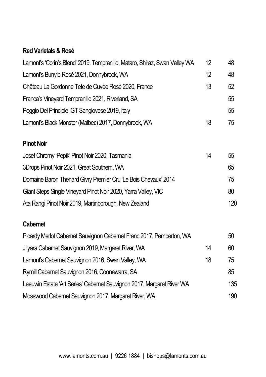### **Red Varietals&Rosé**

| Lamont's 'Corin's Blend' 2019, Tempranillo, Mataro, Shiraz, Swan Valley WA | 12 | 48  |
|----------------------------------------------------------------------------|----|-----|
| Lamont's Bunyip Rosé 2021, Donnybrook, WA                                  | 12 | 48  |
| Château La Gordonne Tete de Cuvée Rosé 2020, France                        | 13 | 52  |
| Franca's Vineyard Tempranillo 2021, Riverland, SA                          |    | 55  |
| Poggio Del Principle IGT Sangiovese 2019, Italy                            |    | 55  |
| Lamont's Black Monster (Malbec) 2017, Donnybrook, WA                       | 18 | 75  |
| <b>Pinot Noir</b>                                                          |    |     |
| Josef Chromy 'Pepik' Pinot Noir 2020, Tasmania                             | 14 | 55  |
| 3Drops Pinot Noir 2021, Great Southem, WA                                  |    | 65  |
| Domaine Baron Thenard Givry Premier Cru 'Le Bois Chevaux' 2014             |    | 75  |
| Giant Steps Single Vineyard Pinot Noir 2020, Yarra Valley, VIC             |    | 80  |
| Ata Rangi Pinot Noir 2019, Martinborough, New Zealand                      |    | 120 |
| <b>Cabernet</b>                                                            |    |     |
| Picardy Merlot Cabernet Sauvignon Cabernet Franc 2017, Pemberton, WA       |    | 50  |
| Jilyara Cabemet Sauvignon 2019, Margaret River, WA                         | 14 | 60  |
| Lamont's Cabernet Sauvignon 2016, Swan Valley, WA                          | 18 | 75  |
| Rymill Cabernet Sauvignon 2016, Coonawarra, SA                             |    | 85  |
| Leeuwin Estate 'Art Series' Cabernet Sauvignon 2017, Margaret River WA     |    | 135 |
| Mosswood Cabernet Sauvignon 2017, Margaret River, WA                       |    | 190 |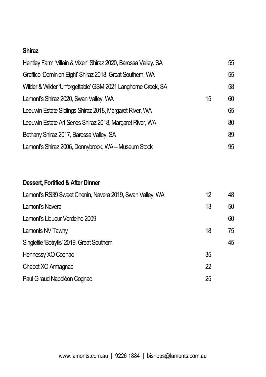#### **Shiraz**

| Hentley Farm 'Villain & Vixen' Shiraz 2020, Barossa Valley, SA |    | 55 |
|----------------------------------------------------------------|----|----|
| Graffico 'Dominion Eight' Shiraz 2018, Great Southem, WA       |    | 55 |
| Wilder & Wilder 'Unforgettable' GSM 2021 Langhorne Creek, SA   |    | 58 |
| Lamont's Shiraz 2020, Swan Valley, WA                          | 15 | 60 |
| Leeuwin Estate Siblings Shiraz 2018, Margaret River, WA        |    | 65 |
| Leeuwin Estate Art Series Shiraz 2018, Margaret River, WA      |    | 80 |
| Bethany Shiraz 2017, Barossa Valley, SA                        |    | 89 |
| Lamont's Shiraz 2006, Donnybrook, WA - Museum Stock            |    | 95 |

## **Dessert, Fortified & After Dinner**

| Lamont's RS39 Sweet Chenin, Navera 2019, Swan Valley, WA | 12 | 48 |
|----------------------------------------------------------|----|----|
| Lamont's Navera                                          | 13 | 50 |
| Lamont's Liqueur Verdelho 2009                           |    | 60 |
| Lamonts NV Tawny                                         | 18 | 75 |
| Singlefile 'Botrytis' 2019. Great Southern               |    | 45 |
| Hennessy XO Cognac                                       | 35 |    |
| Chabot XO Armagnac                                       | 22 |    |
| Paul Giraud Napoléon Cognac                              | 25 |    |